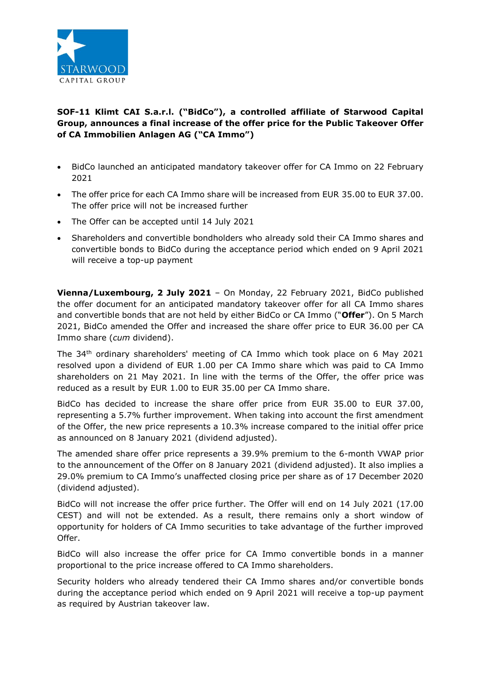

## **SOF-11 Klimt CAI S.a.r.l. ("BidCo"), a controlled affiliate of Starwood Capital Group, announces a final increase of the offer price for the Public Takeover Offer of CA Immobilien Anlagen AG ("CA Immo")**

- BidCo launched an anticipated mandatory takeover offer for CA Immo on 22 February 2021
- The offer price for each CA Immo share will be increased from EUR 35.00 to EUR 37.00. The offer price will not be increased further
- The Offer can be accepted until 14 July 2021
- Shareholders and convertible bondholders who already sold their CA Immo shares and convertible bonds to BidCo during the acceptance period which ended on 9 April 2021 will receive a top-up payment

**Vienna/Luxembourg, 2 July 2021** – On Monday, 22 February 2021, BidCo published the offer document for an anticipated mandatory takeover offer for all CA Immo shares and convertible bonds that are not held by either BidCo or CA Immo ("**Offer**"). On 5 March 2021, BidCo amended the Offer and increased the share offer price to EUR 36.00 per CA Immo share (*cum* dividend).

The 34th ordinary shareholders' meeting of CA Immo which took place on 6 May 2021 resolved upon a dividend of EUR 1.00 per CA Immo share which was paid to CA Immo shareholders on 21 May 2021. In line with the terms of the Offer, the offer price was reduced as a result by EUR 1.00 to EUR 35.00 per CA Immo share.

BidCo has decided to increase the share offer price from EUR 35.00 to EUR 37.00, representing a 5.7% further improvement. When taking into account the first amendment of the Offer, the new price represents a 10.3% increase compared to the initial offer price as announced on 8 January 2021 (dividend adjusted).

The amended share offer price represents a 39.9% premium to the 6-month VWAP prior to the announcement of the Offer on 8 January 2021 (dividend adjusted). It also implies a 29.0% premium to CA Immo's unaffected closing price per share as of 17 December 2020 (dividend adjusted).

BidCo will not increase the offer price further. The Offer will end on 14 July 2021 (17.00 CEST) and will not be extended. As a result, there remains only a short window of opportunity for holders of CA Immo securities to take advantage of the further improved Offer.

BidCo will also increase the offer price for CA Immo convertible bonds in a manner proportional to the price increase offered to CA Immo shareholders.

Security holders who already tendered their CA Immo shares and/or convertible bonds during the acceptance period which ended on 9 April 2021 will receive a top-up payment as required by Austrian takeover law.